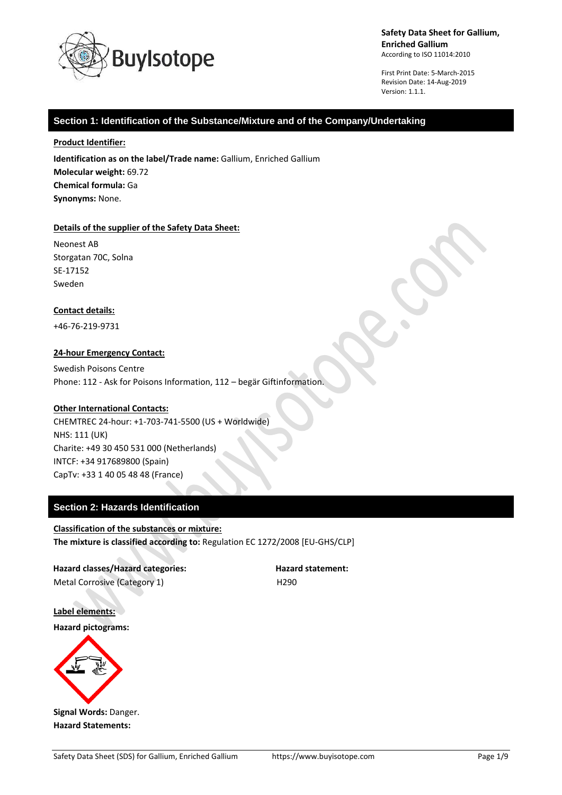

First Print Date: 5-March-2015 Revision Date: 14-Aug-2019 Version: 1.1.1.

### **Section 1: Identification of the Substance/Mixture and of the Company/Undertaking**

#### **Product Identifier:**

**Identification as on the label/Trade name:** Gallium, Enriched Gallium **Molecular weight:** 69.72 **Chemical formula:** Ga **Synonyms:** None.

#### **Details of the supplier of the Safety Data Sheet:**

Neonest AB Storgatan 70C, Solna SE-17152 Sweden

#### **Contact details:**

+46-76-219-9731

#### **24-hour Emergency Contact:**

Swedish Poisons Centre Phone: 112 - Ask for Poisons Information, 112 – begär Giftinformation.

### **Other International Contacts:**

CHEMTREC 24-hour: +1-703-741-5500 (US + Worldwide) NHS: 111 (UK) Charite: +49 30 450 531 000 (Netherlands) INTCF: +34 917689800 (Spain) CapTv: +33 1 40 05 48 48 (France)

### **Section 2: Hazards Identification**

### **Classification of the substances or mixture: The mixture is classified according to:** Regulation EC 1272/2008 [EU-GHS/CLP]

**Hazard classes/Hazard categories: Hazard statement:** Metal Corrosive (Category 1) Metal Corrosive (Category 1)

**Label elements:**

**Hazard pictograms:**



**Signal Words:** Danger. **Hazard Statements:**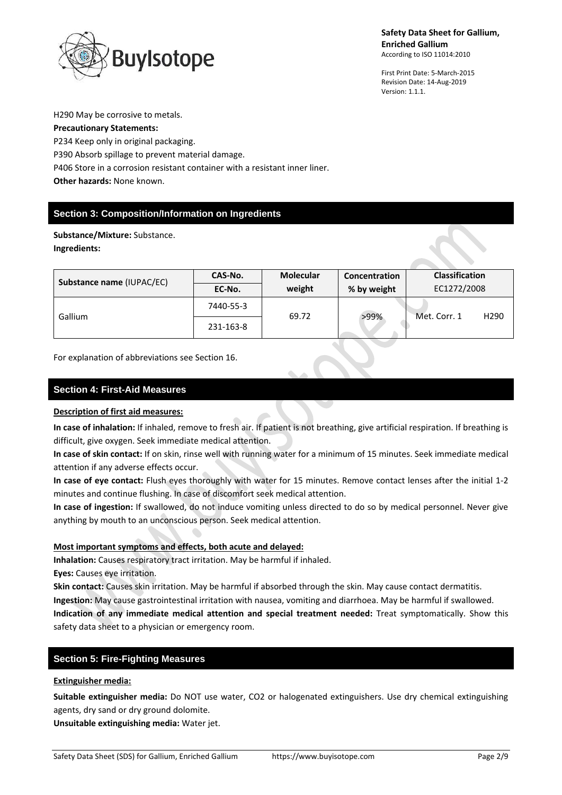

First Print Date: 5-March-2015 Revision Date: 14-Aug-2019 Version: 1.1.1.

H290 May be corrosive to metals.

# **Precautionary Statements:**

P234 Keep only in original packaging. P390 Absorb spillage to prevent material damage. P406 Store in a corrosion resistant container with a resistant inner liner. **Other hazards:** None known.

# **Section 3: Composition/Information on Ingredients**

**Substance/Mixture:** Substance. **Ingredients:**

| Substance name (IUPAC/EC) | CAS-No.   | <b>Molecular</b> | Concentration | <b>Classification</b>            |
|---------------------------|-----------|------------------|---------------|----------------------------------|
|                           | EC-No.    | weight           | % by weight   | EC1272/2008                      |
| Gallium                   | 7440-55-3 | 69.72            | >99%          | Met. Corr. 1<br>H <sub>290</sub> |
|                           | 231-163-8 |                  |               |                                  |

For explanation of abbreviations see Section 16.

### **Section 4: First-Aid Measures**

### **Description of first aid measures:**

**In case of inhalation:** If inhaled, remove to fresh air. If patient is not breathing, give artificial respiration. If breathing is difficult, give oxygen. Seek immediate medical attention.

**In case of skin contact:** If on skin, rinse well with running water for a minimum of 15 minutes. Seek immediate medical attention if any adverse effects occur.

**In case of eye contact:** Flush eyes thoroughly with water for 15 minutes. Remove contact lenses after the initial 1-2 minutes and continue flushing. In case of discomfort seek medical attention.

**In case of ingestion:** If swallowed, do not induce vomiting unless directed to do so by medical personnel. Never give anything by mouth to an unconscious person. Seek medical attention.

### **Most important symptoms and effects, both acute and delayed:**

**Inhalation:** Causes respiratory tract irritation. May be harmful if inhaled.

**Eyes:** Causes eye irritation.

**Skin contact:** Causes skin irritation. May be harmful if absorbed through the skin. May cause contact dermatitis. **Ingestion:** May cause gastrointestinal irritation with nausea, vomiting and diarrhoea. May be harmful if swallowed.

**Indication of any immediate medical attention and special treatment needed:** Treat symptomatically. Show this safety data sheet to a physician or emergency room.

### **Section 5: Fire-Fighting Measures**

### **Extinguisher media:**

**Suitable extinguisher media:** Do NOT use water, CO2 or halogenated extinguishers. Use dry chemical extinguishing agents, dry sand or dry ground dolomite.

**Unsuitable extinguishing media:** Water jet.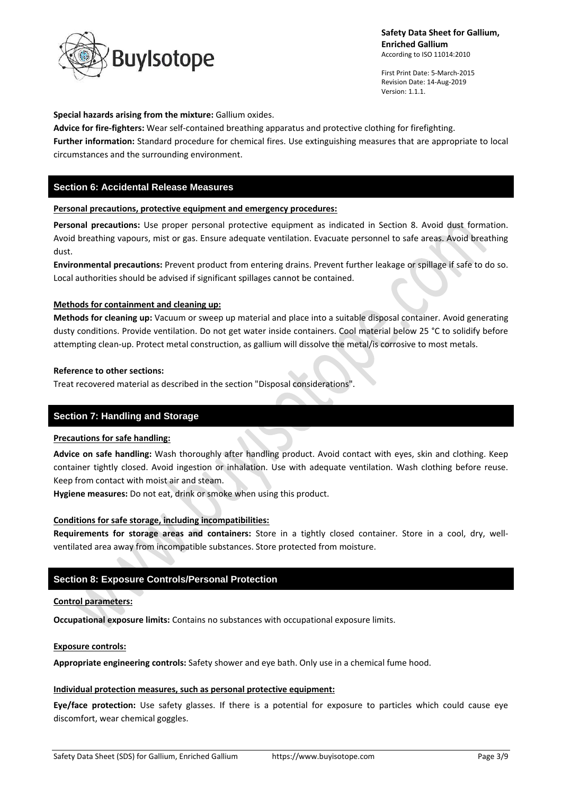

First Print Date: 5-March-2015 Revision Date: 14-Aug-2019 Version: 1.1.1.

#### **Special hazards arising from the mixture:** Gallium oxides.

**Advice for fire-fighters:** Wear self-contained breathing apparatus and protective clothing for firefighting. **Further information:** Standard procedure for chemical fires. Use extinguishing measures that are appropriate to local circumstances and the surrounding environment.

### **Section 6: Accidental Release Measures**

#### **Personal precautions, protective equipment and emergency procedures:**

**Personal precautions:** Use proper personal protective equipment as indicated in Section 8. Avoid dust formation. Avoid breathing vapours, mist or gas. Ensure adequate ventilation. Evacuate personnel to safe areas. Avoid breathing dust.

**Environmental precautions:** Prevent product from entering drains. Prevent further leakage or spillage if safe to do so. Local authorities should be advised if significant spillages cannot be contained.

#### **Methods for containment and cleaning up:**

**Methods for cleaning up:** Vacuum or sweep up material and place into a suitable disposal container. Avoid generating dusty conditions. Provide ventilation. Do not get water inside containers. Cool material below 25 °C to solidify before attempting clean-up. Protect metal construction, as gallium will dissolve the metal/is corrosive to most metals.

#### **Reference to other sections:**

Treat recovered material as described in the section "Disposal considerations".

### **Section 7: Handling and Storage**

### **Precautions for safe handling:**

**Advice on safe handling:** Wash thoroughly after handling product. Avoid contact with eyes, skin and clothing. Keep container tightly closed. Avoid ingestion or inhalation. Use with adequate ventilation. Wash clothing before reuse. Keep from contact with moist air and steam.

**Hygiene measures:** Do not eat, drink or smoke when using this product.

#### **Conditions for safe storage, including incompatibilities:**

**Requirements for storage areas and containers:** Store in a tightly closed container. Store in a cool, dry, wellventilated area away from incompatible substances. Store protected from moisture.

### **Section 8: Exposure Controls/Personal Protection**

#### **Control parameters:**

**Occupational exposure limits:** Contains no substances with occupational exposure limits.

#### **Exposure controls:**

**Appropriate engineering controls:** Safety shower and eye bath. Only use in a chemical fume hood.

### **Individual protection measures, such as personal protective equipment:**

**Eye/face protection:** Use safety glasses. If there is a potential for exposure to particles which could cause eye discomfort, wear chemical goggles.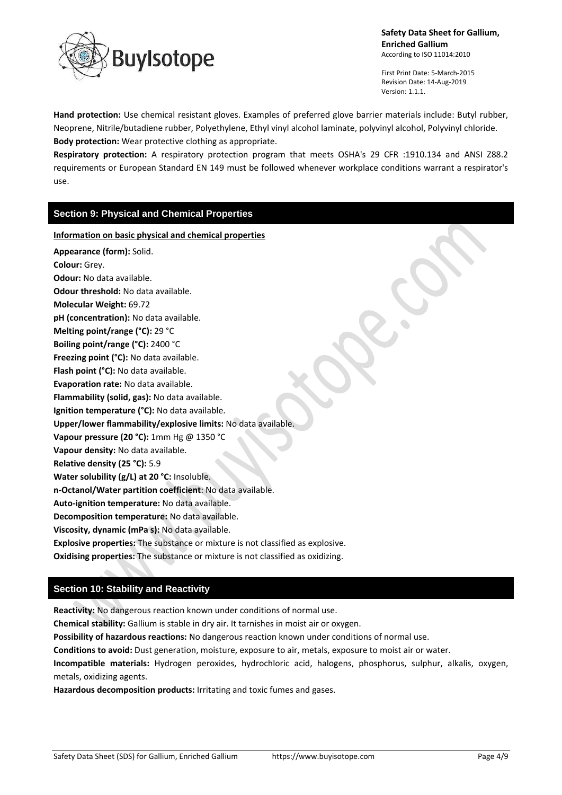

First Print Date: 5-March-2015 Revision Date: 14-Aug-2019 Version: 1.1.1.

**Hand protection:** Use chemical resistant gloves. Examples of preferred glove barrier materials include: Butyl rubber, Neoprene, Nitrile/butadiene rubber, Polyethylene, Ethyl vinyl alcohol laminate, polyvinyl alcohol, Polyvinyl chloride. **Body protection:** Wear protective clothing as appropriate.

**Respiratory protection:** A respiratory protection program that meets OSHA's 29 CFR :1910.134 and ANSI Z88.2 requirements or European Standard EN 149 must be followed whenever workplace conditions warrant a respirator's use.

### **Section 9: Physical and Chemical Properties**

**Information on basic physical and chemical properties**

**Appearance (form):** Solid. **Colour:** Grey. **Odour:** No data available. **Odour threshold:** No data available. **Molecular Weight:** 69.72 **pH (concentration):** No data available. **Melting point/range (°C):** 29 °C **Boiling point/range (°C):** 2400 °C **Freezing point (°C):** No data available. **Flash point (°C):** No data available. **Evaporation rate:** No data available. **Flammability (solid, gas):** No data available. **Ignition temperature (°C):** No data available. **Upper/lower flammability/explosive limits:** No data available. **Vapour pressure (20 °C):** 1mm Hg @ 1350 °C **Vapour density:** No data available. **Relative density (25 °C):** 5.9 **Water solubility (g/L) at 20 °C:** Insoluble. **n-Octanol/Water partition coefficient**: No data available. **Auto-ignition temperature:** No data available. **Decomposition temperature:** No data available. **Viscosity, dynamic (mPa s):** No data available. **Explosive properties:** The substance or mixture is not classified as explosive. **Oxidising properties:** The substance or mixture is not classified as oxidizing.

# **Section 10: Stability and Reactivity**

**Reactivity:** No dangerous reaction known under conditions of normal use.

**Chemical stability:** Gallium is stable in dry air. It tarnishes in moist air or oxygen.

**Possibility of hazardous reactions:** No dangerous reaction known under conditions of normal use.

**Conditions to avoid:** Dust generation, moisture, exposure to air, metals, exposure to moist air or water.

**Incompatible materials:** Hydrogen peroxides, hydrochloric acid, halogens, phosphorus, sulphur, alkalis, oxygen, metals, oxidizing agents.

**Hazardous decomposition products:** Irritating and toxic fumes and gases.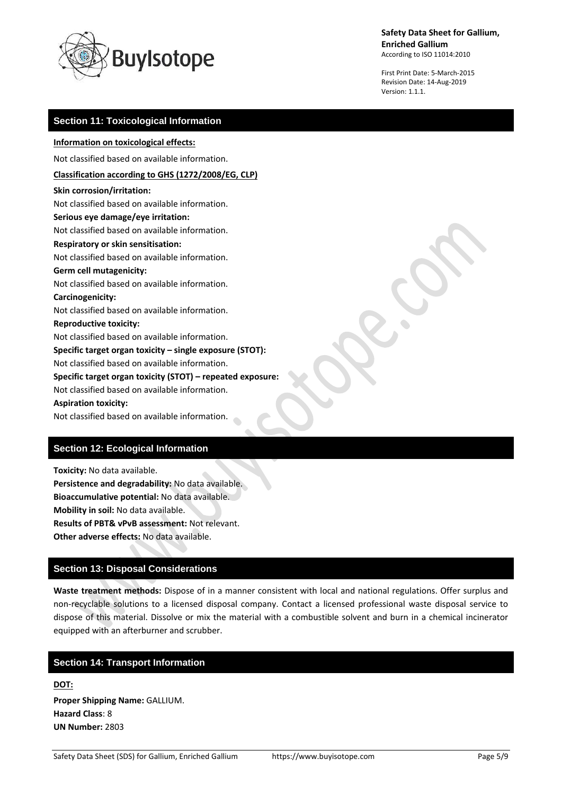

First Print Date: 5-March-2015 Revision Date: 14-Aug-2019 Version: 1.1.1.

### **Section 11: Toxicological Information**

### **Information on toxicological effects:**

Not classified based on available information.

### **Classification according to GHS (1272/2008/EG, CLP)**

**Skin corrosion/irritation:** Not classified based on available information. **Serious eye damage/eye irritation:** Not classified based on available information. **Respiratory or skin sensitisation:** Not classified based on available information. **Germ cell mutagenicity:** Not classified based on available information. **Carcinogenicity:** Not classified based on available information. **Reproductive toxicity:** Not classified based on available information. **Specific target organ toxicity – single exposure (STOT):** Not classified based on available information. **Specific target organ toxicity (STOT) – repeated exposure:** Not classified based on available information. **Aspiration toxicity:** Not classified based on available information.

### **Section 12: Ecological Information**

**Toxicity:** No data available. **Persistence and degradability:** No data available. **Bioaccumulative potential:** No data available. **Mobility in soil:** No data available. **Results of PBT& vPvB assessment:** Not relevant. **Other adverse effects:** No data available.

### **Section 13: Disposal Considerations**

**Waste treatment methods:** Dispose of in a manner consistent with local and national regulations. Offer surplus and non-recyclable solutions to a licensed disposal company. Contact a licensed professional waste disposal service to dispose of this material. Dissolve or mix the material with a combustible solvent and burn in a chemical incinerator equipped with an afterburner and scrubber.

### **Section 14: Transport Information**

**DOT: Proper Shipping Name:** GALLIUM. **Hazard Class**: 8 **UN Number:** 2803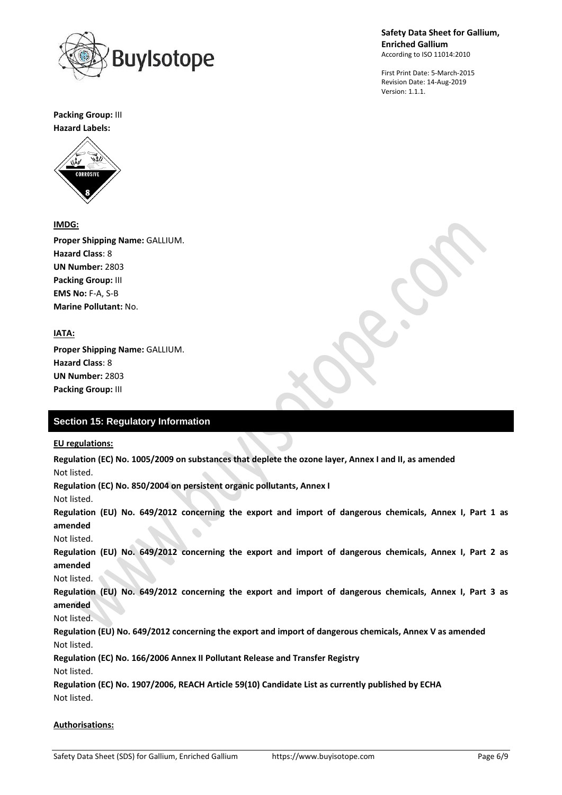

First Print Date: 5-March-2015 Revision Date: 14-Aug-2019 Version: 1.1.1.

**Packing Group:** III

**Hazard Labels:** 



### **IMDG:**

**Proper Shipping Name:** GALLIUM. **Hazard Class**: 8 **UN Number:** 2803 **Packing Group:** III **EMS No:** F-A, S-B **Marine Pollutant:** No.

## **IATA:**

**Proper Shipping Name:** GALLIUM. **Hazard Class**: 8 **UN Number:** 2803 **Packing Group:** III

# **Section 15: Regulatory Information**

#### **EU regulations:**

**Regulation (EC) No. 1005/2009 on substances that deplete the ozone layer, Annex I and II, as amended** Not listed.

**Regulation (EC) No. 850/2004 on persistent organic pollutants, Annex I**

Not listed.

**Regulation (EU) No. 649/2012 concerning the export and import of dangerous chemicals, Annex I, Part 1 as amended**

Not listed.

**Regulation (EU) No. 649/2012 concerning the export and import of dangerous chemicals, Annex I, Part 2 as amended**

Not listed.

**Regulation (EU) No. 649/2012 concerning the export and import of dangerous chemicals, Annex I, Part 3 as amended**

Not listed.

**Regulation (EU) No. 649/2012 concerning the export and import of dangerous chemicals, Annex V as amended** Not listed.

**Regulation (EC) No. 166/2006 Annex II Pollutant Release and Transfer Registry**

Not listed.

**Regulation (EC) No. 1907/2006, REACH Article 59(10) Candidate List as currently published by ECHA** Not listed.

#### **Authorisations:**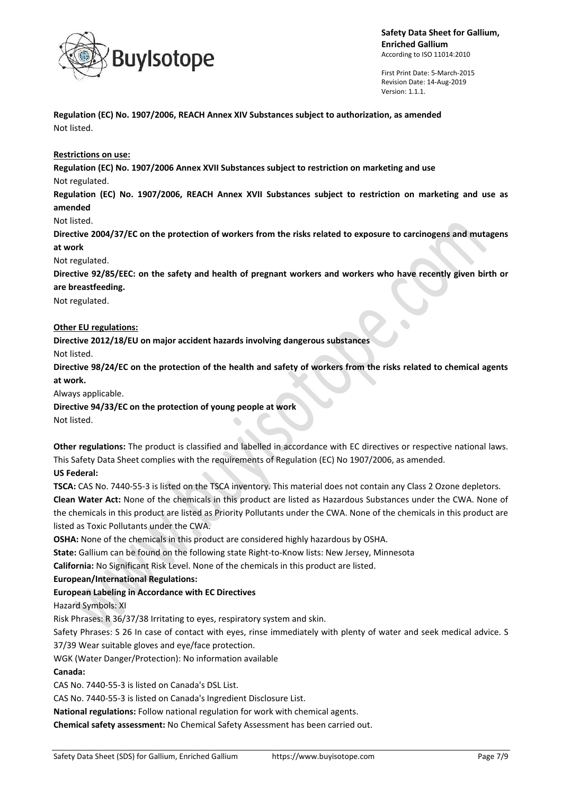

First Print Date: 5-March-2015 Revision Date: 14-Aug-2019 Version: 1.1.1.

**Regulation (EC) No. 1907/2006, REACH Annex XIV Substances subject to authorization, as amended** Not listed.

#### **Restrictions on use:**

**Regulation (EC) No. 1907/2006 Annex XVII Substances subject to restriction on marketing and use** Not regulated.

**Regulation (EC) No. 1907/2006, REACH Annex XVII Substances subject to restriction on marketing and use as amended**

Not listed.

**Directive 2004/37/EC on the protection of workers from the risks related to exposure to carcinogens and mutagens at work**

Not regulated.

**Directive 92/85/EEC: on the safety and health of pregnant workers and workers who have recently given birth or are breastfeeding.**

Not regulated.

#### **Other EU regulations:**

**Directive 2012/18/EU on major accident hazards involving dangerous substances**

Not listed.

**Directive 98/24/EC on the protection of the health and safety of workers from the risks related to chemical agents at work.**

Always applicable.

**Directive 94/33/EC on the protection of young people at work**

Not listed.

**Other regulations:** The product is classified and labelled in accordance with EC directives or respective national laws. This Safety Data Sheet complies with the requirements of Regulation (EC) No 1907/2006, as amended.

### **US Federal:**

**TSCA:** CAS No. 7440-55-3 is listed on the TSCA inventory. This material does not contain any Class 2 Ozone depletors. **Clean Water Act:** None of the chemicals in this product are listed as Hazardous Substances under the CWA. None of the chemicals in this product are listed as Priority Pollutants under the CWA. None of the chemicals in this product are listed as Toxic Pollutants under the CWA.

**OSHA:** None of the chemicals in this product are considered highly hazardous by OSHA.

**State:** Gallium can be found on the following state Right-to-Know lists: New Jersey, Minnesota

**California:** No Significant Risk Level. None of the chemicals in this product are listed.

**European/International Regulations:**

#### **European Labeling in Accordance with EC Directives**

Hazard Symbols: XI

Risk Phrases: R 36/37/38 Irritating to eyes, respiratory system and skin.

Safety Phrases: S 26 In case of contact with eyes, rinse immediately with plenty of water and seek medical advice. S 37/39 Wear suitable gloves and eye/face protection.

WGK (Water Danger/Protection): No information available

#### **Canada:**

CAS No. 7440-55-3 is listed on Canada's DSL List.

CAS No. 7440-55-3 is listed on Canada's Ingredient Disclosure List.

**National regulations:** Follow national regulation for work with chemical agents.

**Chemical safety assessment:** No Chemical Safety Assessment has been carried out.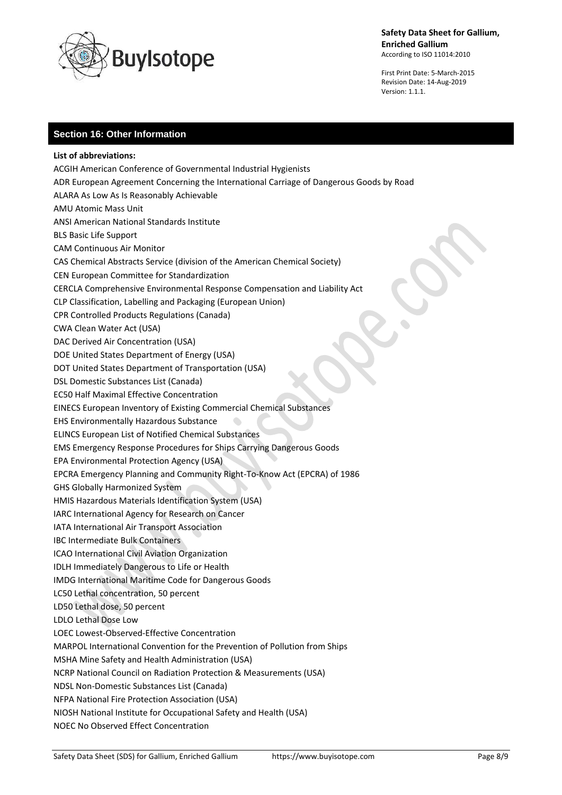

First Print Date: 5-March-2015 Revision Date: 14-Aug-2019 Version: 1.1.1.

# **Section 16: Other Information**

**List of abbreviations:** ACGIH American Conference of Governmental Industrial Hygienists ADR European Agreement Concerning the International Carriage of Dangerous Goods by Road ALARA As Low As Is Reasonably Achievable AMU Atomic Mass Unit ANSI American National Standards Institute BLS Basic Life Support CAM Continuous Air Monitor CAS Chemical Abstracts Service (division of the American Chemical Society) CEN European Committee for Standardization CERCLA Comprehensive Environmental Response Compensation and Liability Act CLP Classification, Labelling and Packaging (European Union) CPR Controlled Products Regulations (Canada) CWA Clean Water Act (USA) DAC Derived Air Concentration (USA) DOE United States Department of Energy (USA) DOT United States Department of Transportation (USA) DSL Domestic Substances List (Canada) EC50 Half Maximal Effective Concentration EINECS European Inventory of Existing Commercial Chemical Substances EHS Environmentally Hazardous Substance ELINCS European List of Notified Chemical Substances EMS Emergency Response Procedures for Ships Carrying Dangerous Goods EPA Environmental Protection Agency (USA) EPCRA Emergency Planning and Community Right-To-Know Act (EPCRA) of 1986 GHS Globally Harmonized System HMIS Hazardous Materials Identification System (USA) IARC International Agency for Research on Cancer IATA International Air Transport Association IBC Intermediate Bulk Containers ICAO International Civil Aviation Organization IDLH Immediately Dangerous to Life or Health IMDG International Maritime Code for Dangerous Goods LC50 Lethal concentration, 50 percent LD50 Lethal dose, 50 percent LDLO Lethal Dose Low LOEC Lowest-Observed-Effective Concentration MARPOL International Convention for the Prevention of Pollution from Ships MSHA Mine Safety and Health Administration (USA) NCRP National Council on Radiation Protection & Measurements (USA) NDSL Non-Domestic Substances List (Canada) NFPA National Fire Protection Association (USA) NIOSH National Institute for Occupational Safety and Health (USA) NOEC No Observed Effect Concentration